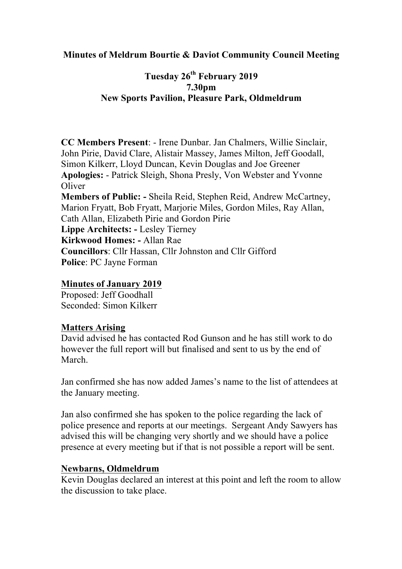### **Minutes of Meldrum Bourtie & Daviot Community Council Meeting**

# **Tuesday 26th February 2019 7.30pm New Sports Pavilion, Pleasure Park, Oldmeldrum**

**CC Members Present**: - Irene Dunbar. Jan Chalmers, Willie Sinclair, John Pirie, David Clare, Alistair Massey, James Milton, Jeff Goodall, Simon Kilkerr, Lloyd Duncan, Kevin Douglas and Joe Greener **Apologies:** - Patrick Sleigh, Shona Presly, Von Webster and Yvonne **Oliver Members of Public: -** Sheila Reid, Stephen Reid, Andrew McCartney, Marion Fryatt, Bob Fryatt, Marjorie Miles, Gordon Miles, Ray Allan, Cath Allan, Elizabeth Pirie and Gordon Pirie **Lippe Architects: -** Lesley Tierney **Kirkwood Homes: -** Allan Rae **Councillors**: Cllr Hassan, Cllr Johnston and Cllr Gifford **Police**: PC Jayne Forman

#### **Minutes of January 2019**

Proposed: Jeff Goodhall Seconded: Simon Kilkerr

#### **Matters Arising**

David advised he has contacted Rod Gunson and he has still work to do however the full report will but finalised and sent to us by the end of March.

Jan confirmed she has now added James's name to the list of attendees at the January meeting.

Jan also confirmed she has spoken to the police regarding the lack of police presence and reports at our meetings. Sergeant Andy Sawyers has advised this will be changing very shortly and we should have a police presence at every meeting but if that is not possible a report will be sent.

#### **Newbarns, Oldmeldrum**

Kevin Douglas declared an interest at this point and left the room to allow the discussion to take place.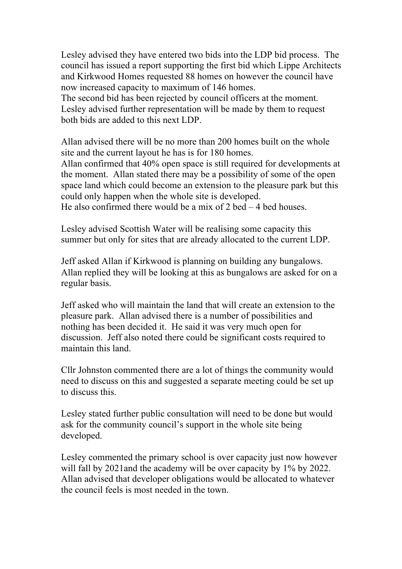Lesley advised they have entered two bids into the LDP bid process. The council has issued a report supporting the first bid which Lippe Architects and Kirkwood Homes requested 88 homes on however the council have now increased capacity to maximum of 146 homes.

The second bid has been rejected by council officers at the moment. Lesley advised further representation will be made by them to request both bids are added to this next LDP.

Allan advised there will be no more than 200 homes built on the whole site and the current layout he has is for 180 homes.

Allan confirmed that 40% open space is still required for developments at the moment. Allan stated there may be a possibility of some of the open space land which could become an extension to the pleasure park but this could only happen when the whole site is developed.

He also confirmed there would be a mix of  $2$  bed  $-4$  bed houses.

Lesley advised Scottish Water will be realising some capacity this summer but only for sites that are already allocated to the current LDP.

Jeff asked Allan if Kirkwood is planning on building any bungalows. Allan replied they will be looking at this as bungalows are asked for on a regular basis.

Jeff asked who will maintain the land that will create an extension to the pleasure park. Allan advised there is a number of possibilities and nothing has been decided it. He said it was very much open for discussion. Jeff also noted there could be significant costs required to maintain this land.

Cllr Johnston commented there are a lot of things the community would need to discuss on this and suggested a separate meeting could be set up to discuss this.

Lesley stated further public consultation will need to be done but would ask for the community council's support in the whole site being developed.

Lesley commented the primary school is over capacity just now however will fall by 2021and the academy will be over capacity by 1% by 2022. Allan advised that developer obligations would be allocated to whatever the council feels is most needed in the town.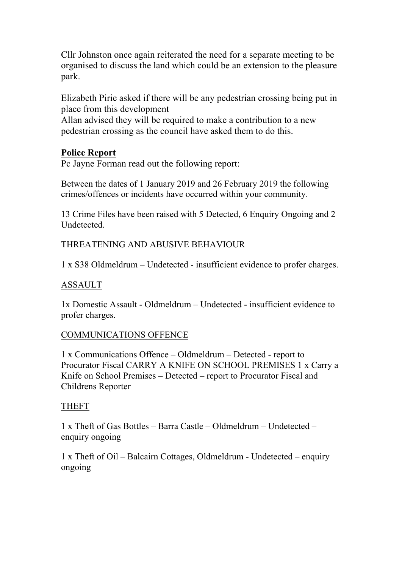Cllr Johnston once again reiterated the need for a separate meeting to be organised to discuss the land which could be an extension to the pleasure park.

Elizabeth Pirie asked if there will be any pedestrian crossing being put in place from this development

Allan advised they will be required to make a contribution to a new pedestrian crossing as the council have asked them to do this.

## **Police Report**

Pc Jayne Forman read out the following report:

Between the dates of 1 January 2019 and 26 February 2019 the following crimes/offences or incidents have occurred within your community.

13 Crime Files have been raised with 5 Detected, 6 Enquiry Ongoing and 2 Undetected.

## THREATENING AND ABUSIVE BEHAVIOUR

1 x S38 Oldmeldrum – Undetected - insufficient evidence to profer charges.

## ASSAULT

1x Domestic Assault - Oldmeldrum – Undetected - insufficient evidence to profer charges.

## COMMUNICATIONS OFFENCE

1 x Communications Offence – Oldmeldrum – Detected - report to Procurator Fiscal CARRY A KNIFE ON SCHOOL PREMISES 1 x Carry a Knife on School Premises – Detected – report to Procurator Fiscal and Childrens Reporter

## THEFT

1 x Theft of Gas Bottles – Barra Castle – Oldmeldrum – Undetected – enquiry ongoing

1 x Theft of Oil – Balcairn Cottages, Oldmeldrum - Undetected – enquiry ongoing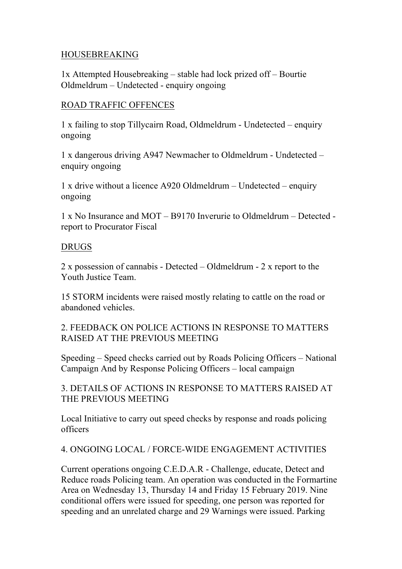#### HOUSEBREAKING

1x Attempted Housebreaking – stable had lock prized off – Bourtie Oldmeldrum – Undetected - enquiry ongoing

#### ROAD TRAFFIC OFFENCES

1 x failing to stop Tillycairn Road, Oldmeldrum - Undetected – enquiry ongoing

1 x dangerous driving A947 Newmacher to Oldmeldrum - Undetected – enquiry ongoing

1 x drive without a licence A920 Oldmeldrum – Undetected – enquiry ongoing

1 x No Insurance and MOT – B9170 Inverurie to Oldmeldrum – Detected report to Procurator Fiscal

#### DRUGS

2 x possession of cannabis - Detected – Oldmeldrum - 2 x report to the Youth Justice Team.

15 STORM incidents were raised mostly relating to cattle on the road or abandoned vehicles.

2. FEEDBACK ON POLICE ACTIONS IN RESPONSE TO MATTERS RAISED AT THE PREVIOUS MEETING

Speeding – Speed checks carried out by Roads Policing Officers – National Campaign And by Response Policing Officers – local campaign

3. DETAILS OF ACTIONS IN RESPONSE TO MATTERS RAISED AT THE PREVIOUS MEETING

Local Initiative to carry out speed checks by response and roads policing officers

4. ONGOING LOCAL / FORCE-WIDE ENGAGEMENT ACTIVITIES

Current operations ongoing C.E.D.A.R - Challenge, educate, Detect and Reduce roads Policing team. An operation was conducted in the Formartine Area on Wednesday 13, Thursday 14 and Friday 15 February 2019. Nine conditional offers were issued for speeding, one person was reported for speeding and an unrelated charge and 29 Warnings were issued. Parking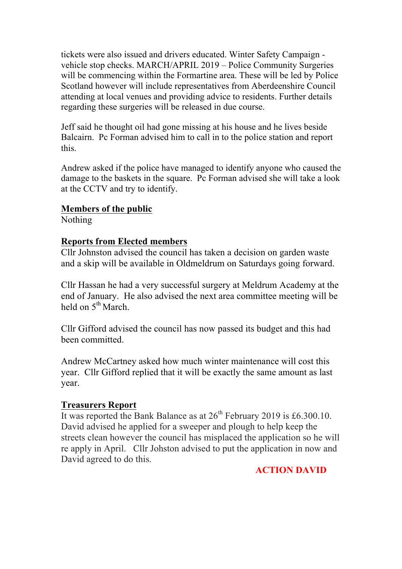tickets were also issued and drivers educated. Winter Safety Campaign vehicle stop checks. MARCH/APRIL 2019 – Police Community Surgeries will be commencing within the Formartine area. These will be led by Police Scotland however will include representatives from Aberdeenshire Council attending at local venues and providing advice to residents. Further details regarding these surgeries will be released in due course.

Jeff said he thought oil had gone missing at his house and he lives beside Balcairn. Pc Forman advised him to call in to the police station and report this.

Andrew asked if the police have managed to identify anyone who caused the damage to the baskets in the square. Pc Forman advised she will take a look at the CCTV and try to identify.

### **Members of the public**

Nothing

## **Reports from Elected members**

Cllr Johnston advised the council has taken a decision on garden waste and a skip will be available in Oldmeldrum on Saturdays going forward.

Cllr Hassan he had a very successful surgery at Meldrum Academy at the end of January. He also advised the next area committee meeting will be held on  $5^{th}$  March.

Cllr Gifford advised the council has now passed its budget and this had been committed.

Andrew McCartney asked how much winter maintenance will cost this year. Cllr Gifford replied that it will be exactly the same amount as last year.

### **Treasurers Report**

It was reported the Bank Balance as at  $26^{th}$  February 2019 is £6.300.10. David advised he applied for a sweeper and plough to help keep the streets clean however the council has misplaced the application so he will re apply in April. Cllr Johston advised to put the application in now and David agreed to do this.

## **ACTION DAVID**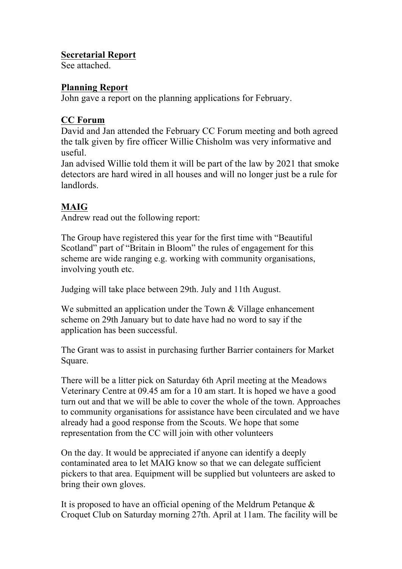### **Secretarial Report**

See attached.

## **Planning Report**

John gave a report on the planning applications for February.

## **CC Forum**

David and Jan attended the February CC Forum meeting and both agreed the talk given by fire officer Willie Chisholm was very informative and useful.

Jan advised Willie told them it will be part of the law by 2021 that smoke detectors are hard wired in all houses and will no longer just be a rule for landlords.

# **MAIG**

Andrew read out the following report:

The Group have registered this year for the first time with "Beautiful Scotland" part of "Britain in Bloom" the rules of engagement for this scheme are wide ranging e.g. working with community organisations, involving youth etc.

Judging will take place between 29th. July and 11th August.

We submitted an application under the Town & Village enhancement scheme on 29th January but to date have had no word to say if the application has been successful.

The Grant was to assist in purchasing further Barrier containers for Market Square.

There will be a litter pick on Saturday 6th April meeting at the Meadows Veterinary Centre at 09.45 am for a 10 am start. It is hoped we have a good turn out and that we will be able to cover the whole of the town. Approaches to community organisations for assistance have been circulated and we have already had a good response from the Scouts. We hope that some representation from the CC will join with other volunteers

On the day. It would be appreciated if anyone can identify a deeply contaminated area to let MAIG know so that we can delegate sufficient pickers to that area. Equipment will be supplied but volunteers are asked to bring their own gloves.

It is proposed to have an official opening of the Meldrum Petanque & Croquet Club on Saturday morning 27th. April at 11am. The facility will be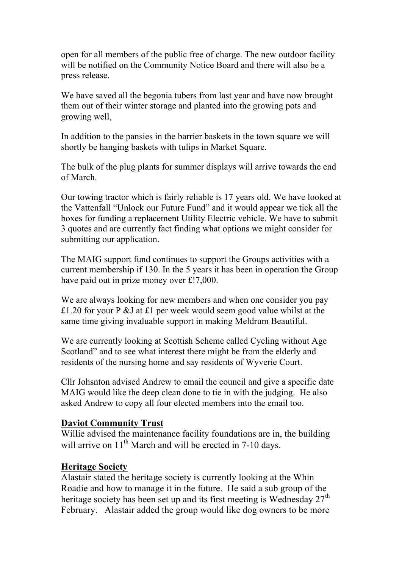open for all members of the public free of charge. The new outdoor facility will be notified on the Community Notice Board and there will also be a press release.

We have saved all the begonia tubers from last year and have now brought them out of their winter storage and planted into the growing pots and growing well,

In addition to the pansies in the barrier baskets in the town square we will shortly be hanging baskets with tulips in Market Square.

The bulk of the plug plants for summer displays will arrive towards the end of March.

Our towing tractor which is fairly reliable is 17 years old. We have looked at the Vattenfall "Unlock our Future Fund" and it would appear we tick all the boxes for funding a replacement Utility Electric vehicle. We have to submit 3 quotes and are currently fact finding what options we might consider for submitting our application.

The MAIG support fund continues to support the Groups activities with a current membership if 130. In the 5 years it has been in operation the Group have paid out in prize money over £!7,000.

We are always looking for new members and when one consider you pay £1.20 for your P &J at £1 per week would seem good value whilst at the same time giving invaluable support in making Meldrum Beautiful.

We are currently looking at Scottish Scheme called Cycling without Age Scotland" and to see what interest there might be from the elderly and residents of the nursing home and say residents of Wyverie Court.

Cllr Johsnton advised Andrew to email the council and give a specific date MAIG would like the deep clean done to tie in with the judging. He also asked Andrew to copy all four elected members into the email too.

### **Daviot Community Trust**

Willie advised the maintenance facility foundations are in, the building will arrive on  $11<sup>th</sup>$  March and will be erected in 7-10 days.

## **Heritage Society**

Alastair stated the heritage society is currently looking at the Whin Roadie and how to manage it in the future. He said a sub group of the heritage society has been set up and its first meeting is Wednesday  $27<sup>th</sup>$ February. Alastair added the group would like dog owners to be more